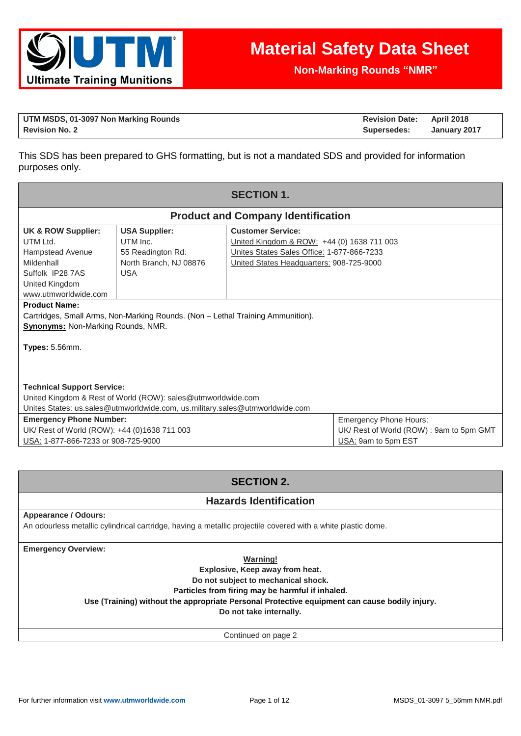

**Non-Marking Rounds "NMR"**

| UTM MSDS, 01-3097 Non Marking Rounds | <b>Revision Date: April 2018</b> |              |
|--------------------------------------|----------------------------------|--------------|
| <b>Revision No. 2</b>                | Supersedes:                      | January 2017 |

This SDS has been prepared to GHS formatting, but is not a mandated SDS and provided for information purposes only.

| <b>SECTION 1.</b>                                                                                                                                                                                                         |                                                                                               |                                                                                                                                                                  |  |  |
|---------------------------------------------------------------------------------------------------------------------------------------------------------------------------------------------------------------------------|-----------------------------------------------------------------------------------------------|------------------------------------------------------------------------------------------------------------------------------------------------------------------|--|--|
|                                                                                                                                                                                                                           |                                                                                               | <b>Product and Company Identification</b>                                                                                                                        |  |  |
| UK & ROW Supplier:<br>UTM Ltd.<br>Hampstead Avenue<br>Mildenhall<br>Suffolk IP28 7AS<br>United Kingdom<br>www.utmworldwide.com                                                                                            | <b>USA Supplier:</b><br>UTM Inc.<br>55 Readington Rd.<br>North Branch, NJ 08876<br><b>USA</b> | <b>Customer Service:</b><br>United Kingdom & ROW: +44 (0) 1638 711 003<br>Unites States Sales Office: 1-877-866-7233<br>United States Headquarters: 908-725-9000 |  |  |
| <b>Product Name:</b><br>Cartridges, Small Arms, Non-Marking Rounds. (Non - Lethal Training Ammunition).<br><b>Synonyms: Non-Marking Rounds, NMR.</b><br><b>Types: 5.56mm.</b>                                             |                                                                                               |                                                                                                                                                                  |  |  |
| <b>Technical Support Service:</b><br>United Kingdom & Rest of World (ROW): sales@utmworldwide.com<br>Unites States: us.sales@utmworldwide.com, us.military.sales@utmworldwide.com                                         |                                                                                               |                                                                                                                                                                  |  |  |
| <b>Emergency Phone Hours:</b><br><b>Emergency Phone Number:</b><br>UK/ Rest of World (ROW) : 9am to 5pm GMT<br>UK/ Rest of World (ROW): +44 (0)1638 711 003<br>USA: 1-877-866-7233 or 908-725-9000<br>USA: 9am to 5pm EST |                                                                                               |                                                                                                                                                                  |  |  |

# **SECTION 2.**

## **Hazards Identification**

### **Appearance / Odours:**

An odourless metallic cylindrical cartridge, having a metallic projectile covered with a white plastic dome.

**Emergency Overview:**

**Warning!**

**Explosive, Keep away from heat.** 

**Do not subject to mechanical shock.** 

**Particles from firing may be harmful if inhaled.**

**Use (Training) without the appropriate Personal Protective equipment can cause bodily injury.**

**Do not take internally.**

Continued on page 2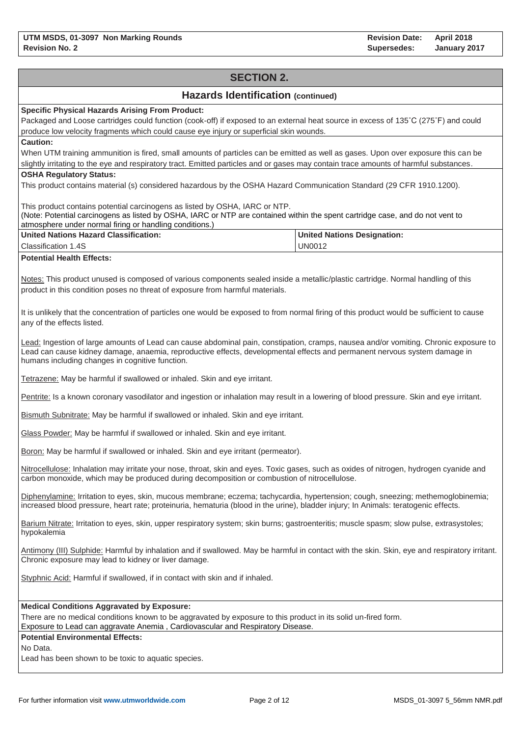# **SECTION 2. Hazards Identification (continued) Specific Physical Hazards Arising From Product:** Packaged and Loose cartridges could function (cook-off) if exposed to an external heat source in excess of 135˚C (275˚F) and could produce low velocity fragments which could cause eye injury or superficial skin wounds. **Caution:** When UTM training ammunition is fired, small amounts of particles can be emitted as well as gases. Upon over exposure this can be slightly irritating to the eye and respiratory tract. Emitted particles and or gases may contain trace amounts of harmful substances. **OSHA Regulatory Status:** This product contains material (s) considered hazardous by the OSHA Hazard Communication Standard (29 CFR 1910.1200). This product contains potential carcinogens as listed by OSHA, IARC or NTP. (Note: Potential carcinogens as listed by OSHA, IARC or NTP are contained within the spent cartridge case, and do not vent to atmosphere under normal firing or handling conditions.) **United Nations Hazard Classification:** Classification 1.4S **United Nations Designation:** UN0012 **Potential Health Effects:** Notes: This product unused is composed of various components sealed inside a metallic/plastic cartridge. Normal handling of this product in this condition poses no threat of exposure from harmful materials. It is unlikely that the concentration of particles one would be exposed to from normal firing of this product would be sufficient to cause any of the effects listed. Lead: Ingestion of large amounts of Lead can cause abdominal pain, constipation, cramps, nausea and/or vomiting. Chronic exposure to Lead can cause kidney damage, anaemia, reproductive effects, developmental effects and permanent nervous system damage in humans including changes in cognitive function. Tetrazene: May be harmful if swallowed or inhaled. Skin and eye irritant. Pentrite: Is a known coronary vasodilator and ingestion or inhalation may result in a lowering of blood pressure. Skin and eye irritant. Bismuth Subnitrate: May be harmful if swallowed or inhaled. Skin and eye irritant. Glass Powder: May be harmful if swallowed or inhaled. Skin and eye irritant. Boron: May be harmful if swallowed or inhaled. Skin and eye irritant (permeator). Nitrocellulose: Inhalation may irritate your nose, throat, skin and eyes. Toxic gases, such as oxides of nitrogen, hydrogen cyanide and carbon monoxide, which may be produced during decomposition or combustion of nitrocellulose. Diphenylamine: Irritation to eyes, skin, mucous membrane; eczema; tachycardia, hypertension; cough, sneezing; methemoglobinemia; increased blood pressure, heart rate; proteinuria, hematuria (blood in the urine), bladder injury; In Animals: teratogenic effects. Barium Nitrate: Irritation to eyes, skin, upper respiratory system; skin burns; gastroenteritis; muscle spasm; slow pulse, extrasystoles; hypokalemia Antimony (III) Sulphide: Harmful by inhalation and if swallowed. May be harmful in contact with the skin. Skin, eye and respiratory irritant. Chronic exposure may lead to kidney or liver damage. Styphnic Acid: Harmful if swallowed, if in contact with skin and if inhaled. **Medical Conditions Aggravated by Exposure:** There are no medical conditions known to be aggravated by exposure to this product in its solid un-fired form. Exposure to Lead can aggravate Anemia , Cardiovascular and Respiratory Disease. **Potential Environmental Effects:** No Data. Lead has been shown to be toxic to aquatic species.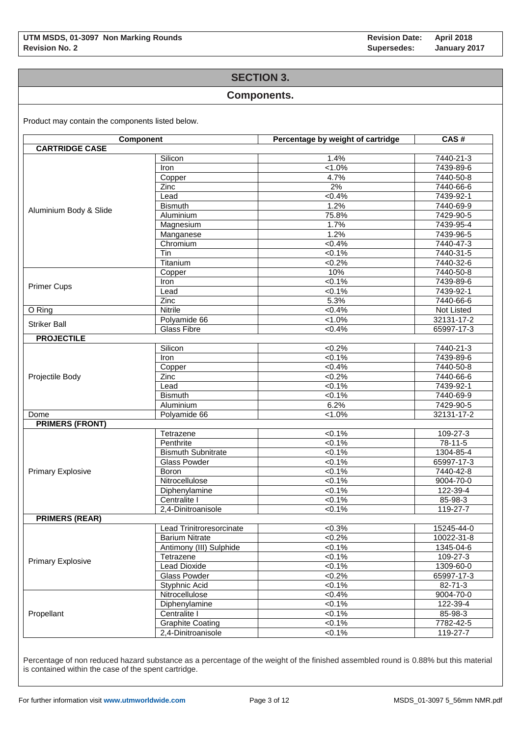### **SECTION 3.**

### **Components.**

Product may contain the components listed below.

| <b>Component</b>         |                           | Percentage by weight of cartridge | CAS#       |  |  |
|--------------------------|---------------------------|-----------------------------------|------------|--|--|
| <b>CARTRIDGE CASE</b>    |                           |                                   |            |  |  |
|                          | Silicon                   | 1.4%                              | 7440-21-3  |  |  |
|                          | Iron                      | $1.0\%$                           | 7439-89-6  |  |  |
|                          | Copper                    | 4.7%                              | 7440-50-8  |  |  |
|                          | Zinc                      | 2%                                | 7440-66-6  |  |  |
|                          | Lead                      | <0.4%                             | 7439-92-1  |  |  |
|                          | <b>Bismuth</b>            | 1.2%                              | 7440-69-9  |  |  |
| Aluminium Body & Slide   | Aluminium                 | 75.8%                             | 7429-90-5  |  |  |
|                          | Magnesium                 | 1.7%                              | 7439-95-4  |  |  |
|                          | Manganese                 | 1.2%                              | 7439-96-5  |  |  |
|                          | Chromium                  | $< 0.4\%$                         | 7440-47-3  |  |  |
|                          | Tin                       | $< 0.1\%$                         | 7440-31-5  |  |  |
|                          | Titanium                  | $<0.2\%$                          | 7440-32-6  |  |  |
|                          | Copper                    | 10%                               | 7440-50-8  |  |  |
|                          | Iron                      | $< 0.1\%$                         | 7439-89-6  |  |  |
| <b>Primer Cups</b>       | Lead                      | $< 0.1\%$                         | 7439-92-1  |  |  |
|                          | Zinc                      | 5.3%                              | 7440-66-6  |  |  |
| O Ring                   | Nitrile                   | $< 0.4\%$                         | Not Listed |  |  |
| <b>Striker Ball</b>      | Polyamide 66              | $1.0\%$                           | 32131-17-2 |  |  |
|                          | <b>Glass Fibre</b>        | $< 0.4\%$                         | 65997-17-3 |  |  |
| <b>PROJECTILE</b>        |                           |                                   |            |  |  |
|                          | Silicon                   | $< 0.2\%$                         | 7440-21-3  |  |  |
|                          | Iron                      | $< 0.1\%$                         | 7439-89-6  |  |  |
|                          | Copper                    | $< 0.4\%$                         | 7440-50-8  |  |  |
| Projectile Body          | Zinc                      | < 0.2%                            | 7440-66-6  |  |  |
|                          | Lead                      | $<0.1\%$                          | 7439-92-1  |  |  |
|                          | <b>Bismuth</b>            | $< 0.1\%$                         | 7440-69-9  |  |  |
|                          | Aluminium                 | 6.2%                              | 7429-90-5  |  |  |
| Dome                     | Polyamide 66              | $1.0\%$                           | 32131-17-2 |  |  |
| <b>PRIMERS (FRONT)</b>   |                           |                                   |            |  |  |
|                          | Tetrazene                 | $< 0.1\%$                         | 109-27-3   |  |  |
|                          | Penthrite                 | $< 0.1\%$                         | 78-11-5    |  |  |
|                          | <b>Bismuth Subnitrate</b> | $< 0.1\%$                         | 1304-85-4  |  |  |
|                          | <b>Glass Powder</b>       | 50.1%                             | 65997-17-3 |  |  |
| <b>Primary Explosive</b> | <b>Boron</b>              | $< 0.1\%$                         | 7440-42-8  |  |  |
|                          | Nitrocellulose            | $< 0.1\%$                         | 9004-70-0  |  |  |
|                          | Diphenylamine             | $< 0.1\%$                         | 122-39-4   |  |  |
|                          | Centralite I              | $< 0.1\%$                         | 85-98-3    |  |  |
|                          | 2,4-Dinitroanisole        | $<0.1\%$                          | 119-27-7   |  |  |
| <b>PRIMERS (REAR)</b>    |                           |                                   |            |  |  |
|                          | Lead Trinitroresorcinate  | $<0.3\%$                          | 15245-44-0 |  |  |
|                          | <b>Barium Nitrate</b>     | $<0.2\%$                          | 10022-31-8 |  |  |
|                          | Antimony (III) Sulphide   | $< 0.1\%$                         | 1345-04-6  |  |  |
|                          | Tetrazene                 | $<0.1\%$                          | 109-27-3   |  |  |
| <b>Primary Explosive</b> | <b>Lead Dioxide</b>       | $<0.1\%$                          | 1309-60-0  |  |  |
|                          | Glass Powder              | $<0.2\%$                          | 65997-17-3 |  |  |
|                          | Styphnic Acid             | $< 0.1\%$                         | 82-71-3    |  |  |
|                          | Nitrocellulose            | $<0.4\%$                          | 9004-70-0  |  |  |
|                          | Diphenylamine             | $< 0.1\%$                         | 122-39-4   |  |  |
| Propellant               | Centralite I              | 50.1%                             | 85-98-3    |  |  |
|                          | <b>Graphite Coating</b>   | $<0.1\%$                          | 7782-42-5  |  |  |
|                          | 2,4-Dinitroanisole        | $< 0.1\%$                         | 119-27-7   |  |  |
|                          |                           |                                   |            |  |  |

Percentage of non reduced hazard substance as a percentage of the weight of the finished assembled round is 0.88% but this material is contained within the case of the spent cartridge.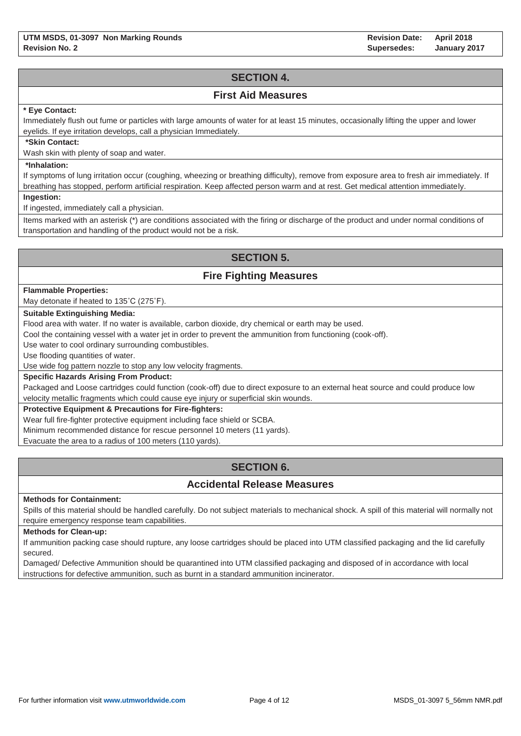# **SECTION 4.**

### **First Aid Measures**

### **\* Eye Contact:**

Immediately flush out fume or particles with large amounts of water for at least 15 minutes, occasionally lifting the upper and lower eyelids. If eye irritation develops, call a physician Immediately.

#### **\*Skin Contact:**

Wash skin with plenty of soap and water.

### **\*Inhalation:**

If symptoms of lung irritation occur (coughing, wheezing or breathing difficulty), remove from exposure area to fresh air immediately. If breathing has stopped, perform artificial respiration. Keep affected person warm and at rest. Get medical attention immediately.

**Ingestion:**

If ingested, immediately call a physician.

Items marked with an asterisk (\*) are conditions associated with the firing or discharge of the product and under normal conditions of transportation and handling of the product would not be a risk.

# **SECTION 5.**

## **Fire Fighting Measures**

#### **Flammable Properties:**

May detonate if heated to 135˚C (275˚F).

### **Suitable Extinguishing Media:**

Flood area with water. If no water is available, carbon dioxide, dry chemical or earth may be used.

Cool the containing vessel with a water jet in order to prevent the ammunition from functioning (cook-off).

Use water to cool ordinary surrounding combustibles.

Use flooding quantities of water.

Use wide fog pattern nozzle to stop any low velocity fragments.

### **Specific Hazards Arising From Product:**

Packaged and Loose cartridges could function (cook-off) due to direct exposure to an external heat source and could produce low velocity metallic fragments which could cause eye injury or superficial skin wounds.

### **Protective Equipment & Precautions for Fire-fighters:**

Wear full fire-fighter protective equipment including face shield or SCBA.

Minimum recommended distance for rescue personnel 10 meters (11 yards).

Evacuate the area to a radius of 100 meters (110 yards).

# **SECTION 6.**

## **Accidental Release Measures**

#### **Methods for Containment:**

Spills of this material should be handled carefully. Do not subject materials to mechanical shock. A spill of this material will normally not require emergency response team capabilities.

#### **Methods for Clean-up:**

If ammunition packing case should rupture, any loose cartridges should be placed into UTM classified packaging and the lid carefully secured.

Damaged/ Defective Ammunition should be quarantined into UTM classified packaging and disposed of in accordance with local instructions for defective ammunition, such as burnt in a standard ammunition incinerator.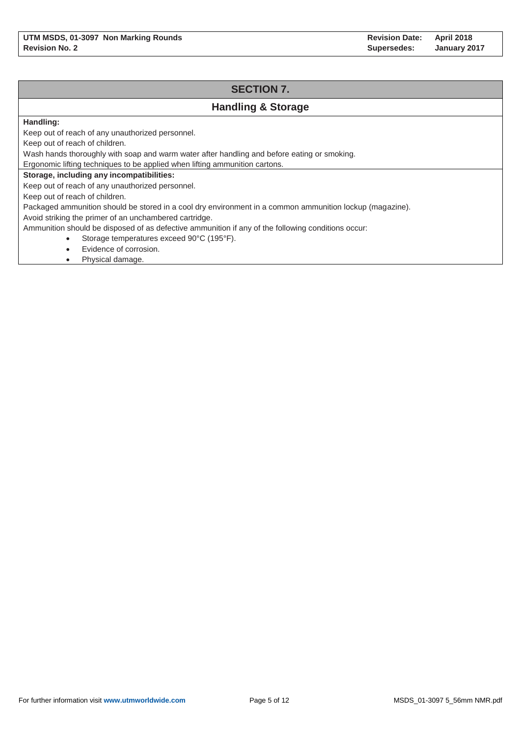# **SECTION 7. Handling & Storage Handling:** Keep out of reach of any unauthorized personnel. Keep out of reach of children. Wash hands thoroughly with soap and warm water after handling and before eating or smoking. Ergonomic lifting techniques to be applied when lifting ammunition cartons. **Storage, including any incompatibilities:** Keep out of reach of any unauthorized personnel. Keep out of reach of children. Packaged ammunition should be stored in a cool dry environment in a common ammunition lockup (magazine). Avoid striking the primer of an unchambered cartridge. Ammunition should be disposed of as defective ammunition if any of the following conditions occur: Storage temperatures exceed 90°C (195°F).

- Evidence of corrosion.
- Physical damage.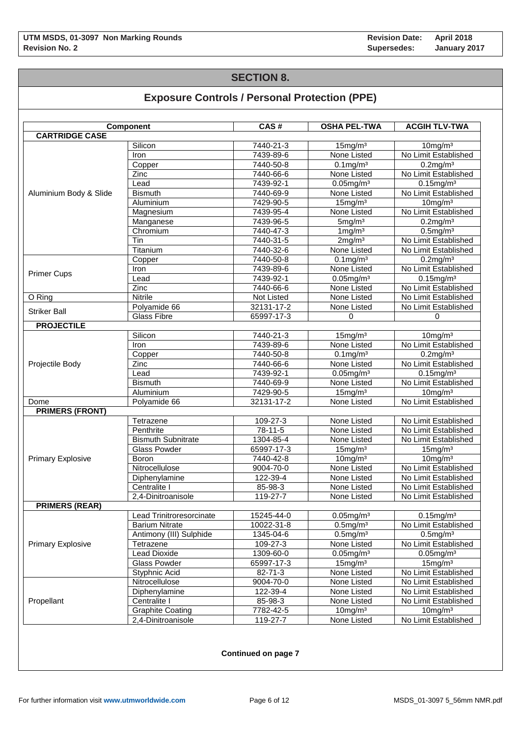## **SECTION 8.**

# **Exposure Controls / Personal Protection (PPE)**

|                          | Component                 | CAS#              | <b>OSHA PEL-TWA</b> | <b>ACGIH TLV-TWA</b> |
|--------------------------|---------------------------|-------------------|---------------------|----------------------|
| <b>CARTRIDGE CASE</b>    |                           |                   |                     |                      |
|                          | Silicon                   | 7440-21-3         | 15mg/m <sup>3</sup> | $10$ mg/m $3$        |
|                          | Iron                      | 7439-89-6         | None Listed         | No Limit Established |
|                          | Copper                    | 7440-50-8         | $0.1 \text{mg/m}^3$ | $0.2$ mg/m $3$       |
|                          | Zinc                      | 7440-66-6         | None Listed         | No Limit Established |
|                          | Lead                      | 7439-92-1         | $0.05$ mg/m $3$     | $0.15$ mg/m $3$      |
| Aluminium Body & Slide   | <b>Bismuth</b>            | 7440-69-9         | None Listed         | No Limit Established |
|                          | Aluminium                 | 7429-90-5         | $15$ mg/m $3$       | $10$ mg/m $3$        |
|                          | Magnesium                 | 7439-95-4         | None Listed         | No Limit Established |
|                          | Manganese                 | 7439-96-5         | 5mg/m <sup>3</sup>  | $0.2$ mg/m $3$       |
|                          | Chromium                  | 7440-47-3         | $1 \text{mg/m}^3$   | $0.5$ mg/m $3$       |
|                          | Tin                       | 7440-31-5         | 2mg/m <sup>3</sup>  | No Limit Established |
|                          | Titanium                  | 7440-32-6         | None Listed         | No Limit Established |
|                          | Copper                    | 7440-50-8         | $0.1$ mg/m $3$      | $0.2$ mg/m $3$       |
|                          | <b>Iron</b>               | 7439-89-6         | None Listed         | No Limit Established |
| <b>Primer Cups</b>       | Lead                      | 7439-92-1         | $0.05$ mg/m $3$     | $0.15$ mg/m $3$      |
|                          | $\overline{Z}$ inc        | 7440-66-6         | None Listed         | No Limit Established |
| O Ring                   | <b>Nitrile</b>            | <b>Not Listed</b> | None Listed         | No Limit Established |
|                          | Polyamide 66              | 32131-17-2        | None Listed         | No Limit Established |
| <b>Striker Ball</b>      | <b>Glass Fibre</b>        | 65997-17-3        | $\mathbf 0$         | 0                    |
| <b>PROJECTILE</b>        |                           |                   |                     |                      |
|                          | Silicon                   | 7440-21-3         | 15mg/m <sup>3</sup> | $10$ mg/m $3$        |
|                          | Iron                      | 7439-89-6         | None Listed         | No Limit Established |
|                          | Copper                    | 7440-50-8         | $0.1$ mg/m $3$      | $0.2$ mg/m $3$       |
| Projectile Body          | Zinc                      | 7440-66-6         | None Listed         | No Limit Established |
|                          | Lead                      | 7439-92-1         | $0.05$ mg/m $3$     | $0.15$ mg/m $3$      |
|                          | <b>Bismuth</b>            | 7440-69-9         | None Listed         | No Limit Established |
|                          | Aluminium                 | 7429-90-5         | 15mg/m <sup>3</sup> | $10$ mg/m $3$        |
| Dome                     | Polyamide 66              | 32131-17-2        | None Listed         | No Limit Established |
| <b>PRIMERS (FRONT)</b>   |                           |                   |                     |                      |
|                          | Tetrazene                 | 109-27-3          | None Listed         | No Limit Established |
|                          | Penthrite                 | 78-11-5           | None Listed         | No Limit Established |
|                          | <b>Bismuth Subnitrate</b> | 1304-85-4         | None Listed         | No Limit Established |
|                          | <b>Glass Powder</b>       | 65997-17-3        | 15mg/m <sup>3</sup> | 15mg/m <sup>3</sup>  |
| <b>Primary Explosive</b> | <b>Boron</b>              | 7440-42-8         | $10$ mg/m $3$       | $10$ mg/m $3$        |
|                          | Nitrocellulose            | 9004-70-0         | None Listed         | No Limit Established |
|                          | Diphenylamine             | 122-39-4          | None Listed         | No Limit Established |
|                          | Centralite I              | 85-98-3           | None Listed         | No Limit Established |
|                          | 2,4-Dinitroanisole        | 119-27-7          | None Listed         | No Limit Established |
| <b>PRIMERS (REAR)</b>    |                           |                   |                     |                      |
|                          | Lead Trinitroresorcinate  | 15245-44-0        | $0.05$ mg/m $3$     | $0.15$ mg/m $3$      |
|                          | <b>Barium Nitrate</b>     | 10022-31-8        | $0.5$ mg/m $3$      | No Limit Established |
|                          | Antimony (III) Sulphide   | 1345-04-6         | $0.5$ mg/m $3$      | $0.5$ mg/m $3$       |
| <b>Primary Explosive</b> | Tetrazene                 | 109-27-3          | None Listed         | No Limit Established |
|                          | <b>Lead Dioxide</b>       | 1309-60-0         | $0.05$ mg/m $3$     | $0.05$ mg/m $3$      |
|                          | <b>Glass Powder</b>       | 65997-17-3        | 15mg/m <sup>3</sup> | 15mg/m <sup>3</sup>  |
|                          | Styphnic Acid             | 82-71-3           | None Listed         | No Limit Established |
|                          | Nitrocellulose            | 9004-70-0         | None Listed         | No Limit Established |
|                          |                           | 122-39-4          | None Listed         | No Limit Established |
| Propellant               | Diphenylamine             |                   |                     |                      |
|                          | Centralite I              | 85-98-3           | None Listed         | No Limit Established |
|                          | <b>Graphite Coating</b>   | 7782-42-5         | $10$ mg/m $3$       | $10$ mg/m $3$        |
|                          | 2,4-Dinitroanisole        | 119-27-7          | None Listed         | No Limit Established |

**Continued on page 7**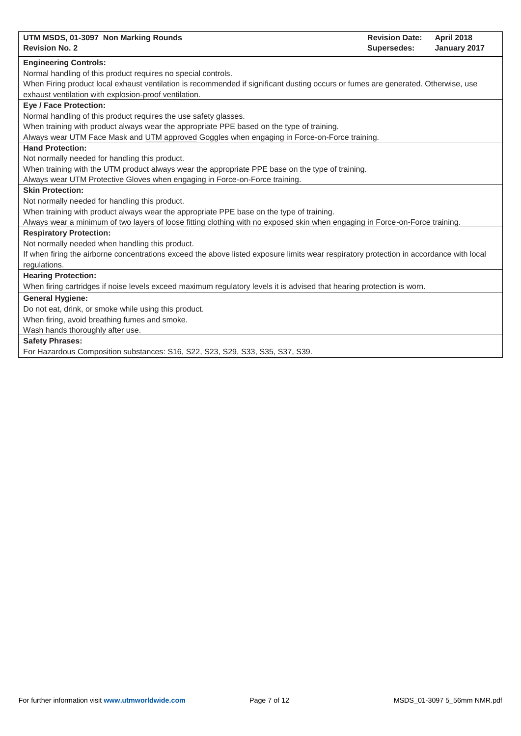| UTM MSDS, 01-3097 Non Marking Rounds<br><b>Revision Date:</b><br><b>April 2018</b>                                                      |
|-----------------------------------------------------------------------------------------------------------------------------------------|
| <b>Revision No. 2</b><br><b>Supersedes:</b><br>January 2017                                                                             |
| <b>Engineering Controls:</b>                                                                                                            |
| Normal handling of this product requires no special controls.                                                                           |
| When Firing product local exhaust ventilation is recommended if significant dusting occurs or fumes are generated. Otherwise, use       |
| exhaust ventilation with explosion-proof ventilation.                                                                                   |
| <b>Eye / Face Protection:</b>                                                                                                           |
| Normal handling of this product requires the use safety glasses.                                                                        |
| When training with product always wear the appropriate PPE based on the type of training.                                               |
| Always wear UTM Face Mask and UTM approved Goggles when engaging in Force-on-Force training.                                            |
| <b>Hand Protection:</b>                                                                                                                 |
| Not normally needed for handling this product.                                                                                          |
| When training with the UTM product always wear the appropriate PPE base on the type of training.                                        |
| Always wear UTM Protective Gloves when engaging in Force-on-Force training.                                                             |
| <b>Skin Protection:</b>                                                                                                                 |
| Not normally needed for handling this product.                                                                                          |
| When training with product always wear the appropriate PPE base on the type of training.                                                |
| Always wear a minimum of two layers of loose fitting clothing with no exposed skin when engaging in Force-on-Force training.            |
| <b>Respiratory Protection:</b>                                                                                                          |
| Not normally needed when handling this product.                                                                                         |
| If when firing the airborne concentrations exceed the above listed exposure limits wear respiratory protection in accordance with local |
| regulations.                                                                                                                            |
| <b>Hearing Protection:</b>                                                                                                              |
| When firing cartridges if noise levels exceed maximum regulatory levels it is advised that hearing protection is worn.                  |
| <b>General Hygiene:</b>                                                                                                                 |
| Do not eat, drink, or smoke while using this product.                                                                                   |
| When firing, avoid breathing fumes and smoke.                                                                                           |
| Wash hands thoroughly after use.                                                                                                        |
| <b>Safety Phrases:</b>                                                                                                                  |
| For Hazardous Composition substances: S16, S22, S23, S29, S33, S35, S37, S39.                                                           |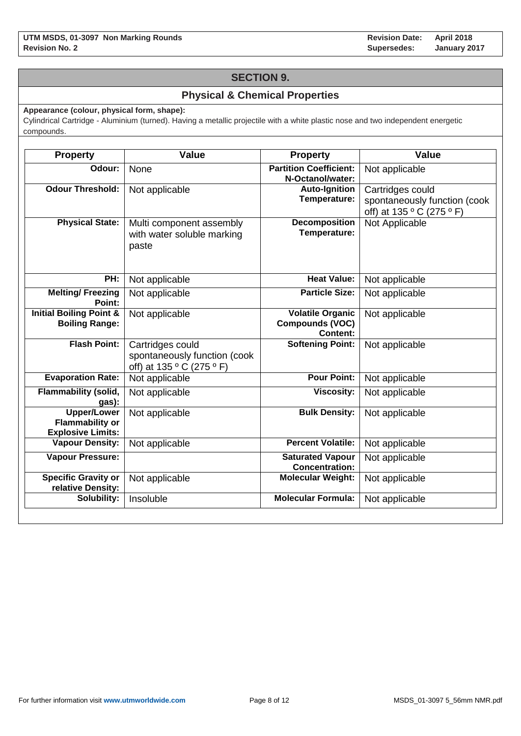## **SECTION 9.**

## **Physical & Chemical Properties**

**Appearance (colour, physical form, shape):**

Cylindrical Cartridge - Aluminium (turned). Having a metallic projectile with a white plastic nose and two independent energetic compounds.

| <b>Property</b>                                                          | <b>Value</b>                                                                  | Property                                                             | <b>Value</b>                                                                  |
|--------------------------------------------------------------------------|-------------------------------------------------------------------------------|----------------------------------------------------------------------|-------------------------------------------------------------------------------|
| Odour:                                                                   | <b>None</b>                                                                   | <b>Partition Coefficient:</b><br>N-Octanol/water:                    | Not applicable                                                                |
| <b>Odour Threshold:</b>                                                  | Not applicable                                                                | <b>Auto-Ignition</b><br>Temperature:                                 | Cartridges could<br>spontaneously function (cook<br>off) at 135 ° C (275 ° F) |
| <b>Physical State:</b>                                                   | Multi component assembly<br>with water soluble marking<br>paste               | <b>Decomposition</b><br>Temperature:                                 | Not Applicable                                                                |
| PH:                                                                      | Not applicable                                                                | <b>Heat Value:</b>                                                   | Not applicable                                                                |
| <b>Melting/Freezing</b><br>Point:                                        | Not applicable                                                                | <b>Particle Size:</b>                                                | Not applicable                                                                |
| <b>Initial Boiling Point &amp;</b><br><b>Boiling Range:</b>              | Not applicable                                                                | <b>Volatile Organic</b><br><b>Compounds (VOC)</b><br><b>Content:</b> | Not applicable                                                                |
| <b>Flash Point:</b>                                                      | Cartridges could<br>spontaneously function (cook<br>off) at 135 ° C (275 ° F) | <b>Softening Point:</b>                                              | Not applicable                                                                |
| <b>Evaporation Rate:</b>                                                 | Not applicable                                                                | <b>Pour Point:</b>                                                   | Not applicable                                                                |
| Flammability (solid,<br>gas):                                            | Not applicable                                                                | <b>Viscosity:</b>                                                    | Not applicable                                                                |
| <b>Upper/Lower</b><br><b>Flammability or</b><br><b>Explosive Limits:</b> | Not applicable                                                                | <b>Bulk Density:</b>                                                 | Not applicable                                                                |
| <b>Vapour Density:</b>                                                   | Not applicable                                                                | <b>Percent Volatile:</b>                                             | Not applicable                                                                |
| <b>Vapour Pressure:</b>                                                  |                                                                               | <b>Saturated Vapour</b><br><b>Concentration:</b>                     | Not applicable                                                                |
| <b>Specific Gravity or</b><br>relative Density:                          | Not applicable                                                                | <b>Molecular Weight:</b>                                             | Not applicable                                                                |
| Solubility:                                                              | Insoluble                                                                     | <b>Molecular Formula:</b>                                            | Not applicable                                                                |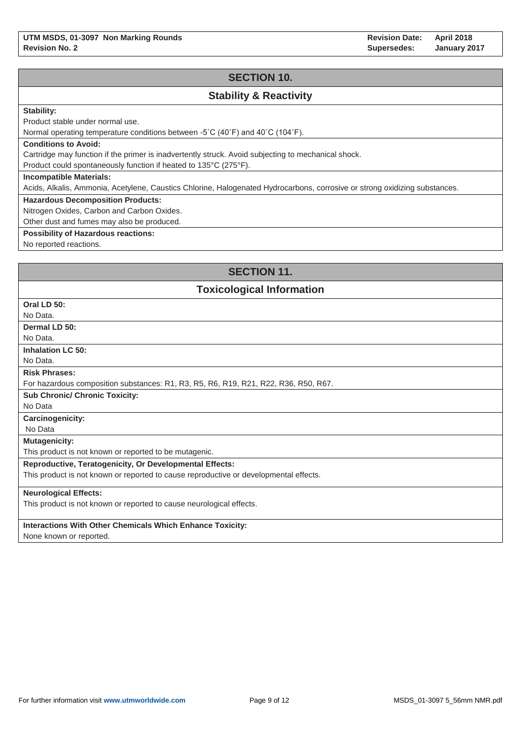**Revision Date: Supersedes: April 2018 January 2017**

## **SECTION 10.**

## **Stability & Reactivity**

### **Stability:**

Product stable under normal use.

Normal operating temperature conditions between -5˚C (40˚F) and 40˚C (104˚F).

#### **Conditions to Avoid:**

Cartridge may function if the primer is inadvertently struck. Avoid subjecting to mechanical shock.

Product could spontaneously function if heated to 135°C (275°F).

#### **Incompatible Materials:**

Acids, Alkalis, Ammonia, Acetylene, Caustics Chlorine, Halogenated Hydrocarbons, corrosive or strong oxidizing substances.

#### **Hazardous Decomposition Products:**

Nitrogen Oxides, Carbon and Carbon Oxides.

Other dust and fumes may also be produced.

### **Possibility of Hazardous reactions:**

No reported reactions.

## **SECTION 11.**

### **Toxicological Information**

| Oral LD 50:                                                                           |
|---------------------------------------------------------------------------------------|
| No Data.                                                                              |
| Dermal LD 50:                                                                         |
| No Data.                                                                              |
| <b>Inhalation LC 50:</b>                                                              |
| No Data.                                                                              |
| <b>Risk Phrases:</b>                                                                  |
| For hazardous composition substances: R1, R3, R5, R6, R19, R21, R22, R36, R50, R67.   |
| <b>Sub Chronic/ Chronic Toxicity:</b>                                                 |
| No Data                                                                               |
| <b>Carcinogenicity:</b>                                                               |
| No Data                                                                               |
| <b>Mutagenicity:</b>                                                                  |
| This product is not known or reported to be mutagenic.                                |
| <b>Reproductive, Teratogenicity, Or Developmental Effects:</b>                        |
| This product is not known or reported to cause reproductive or developmental effects. |
| <b>Neurological Effects:</b>                                                          |
| This product is not known or reported to cause neurological effects.                  |
|                                                                                       |
| <b>Interactions With Other Chemicals Which Enhance Toxicity:</b>                      |
| $\blacksquare$                                                                        |

None known or reported.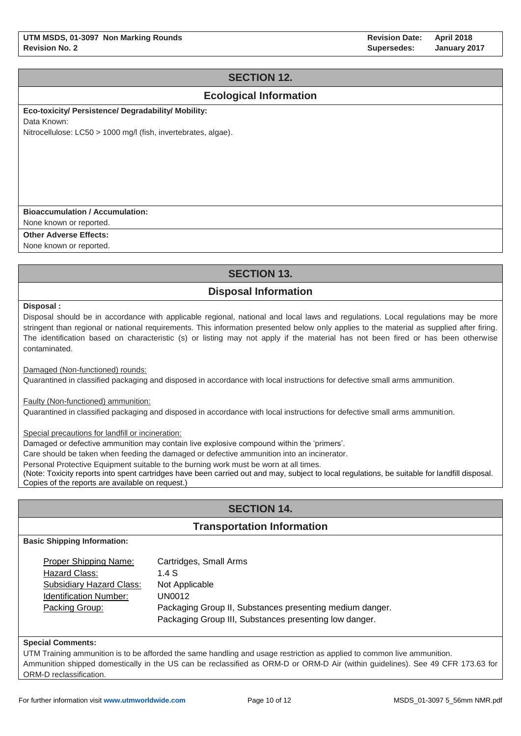# **SECTION 12.**

## **Ecological Information**

**Eco-toxicity/ Persistence/ Degradability/ Mobility:** 

Data Known:

Nitrocellulose: LC50 > 1000 mg/l (fish, invertebrates, algae).

### **Bioaccumulation / Accumulation:**

None known or reported.

**Other Adverse Effects:**

None known or reported.

# **SECTION 13.**

# **Disposal Information**

**Disposal :**

Disposal should be in accordance with applicable regional, national and local laws and regulations. Local regulations may be more stringent than regional or national requirements. This information presented below only applies to the material as supplied after firing. The identification based on characteristic (s) or listing may not apply if the material has not been fired or has been otherwise contaminated.

Damaged (Non-functioned) rounds:

Quarantined in classified packaging and disposed in accordance with local instructions for defective small arms ammunition.

Faulty (Non-functioned) ammunition:

Quarantined in classified packaging and disposed in accordance with local instructions for defective small arms ammunition.

Special precautions for landfill or incineration:

Damaged or defective ammunition may contain live explosive compound within the 'primers'.

Care should be taken when feeding the damaged or defective ammunition into an incinerator.

Personal Protective Equipment suitable to the burning work must be worn at all times.

(Note: Toxicity reports into spent cartridges have been carried out and may, subject to local regulations, be suitable for landfill disposal. Copies of the reports are available on request.)

# **SECTION 14.**

## **Transportation Information**

**Basic Shipping Information:**

| Proper Shipping Name:         | Cartridges, Small Arms                                   |
|-------------------------------|----------------------------------------------------------|
| Hazard Class:                 | 1.4 $S$                                                  |
| Subsidiary Hazard Class:      | Not Applicable                                           |
| <b>Identification Number:</b> | UN0012                                                   |
| Packing Group:                | Packaging Group II, Substances presenting medium danger. |
|                               | Packaging Group III, Substances presenting low danger.   |

### **Special Comments:**

UTM Training ammunition is to be afforded the same handling and usage restriction as applied to common live ammunition. Ammunition shipped domestically in the US can be reclassified as ORM-D or ORM-D Air (within guidelines). See 49 CFR 173.63 for ORM-D reclassification.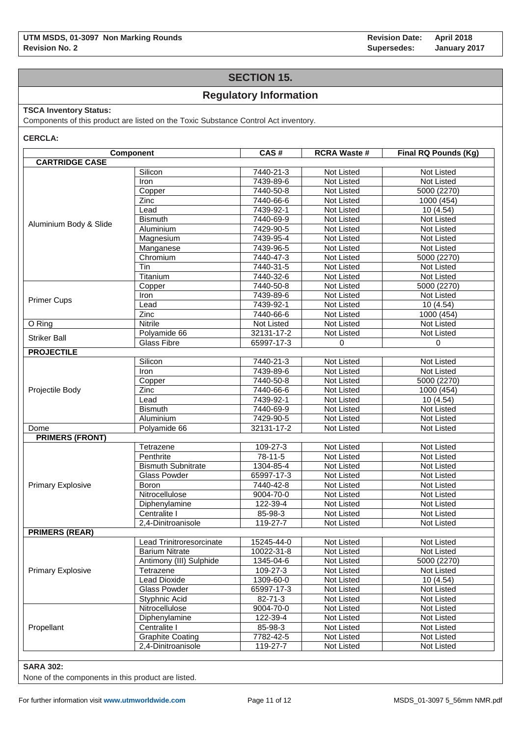## **SECTION 15.**

## **Regulatory Information**

### **TSCA Inventory Status:**

Components of this product are listed on the Toxic Substance Control Act inventory.

**CERCLA:**

|                          | Component                 | CAS#                  | <b>RCRA Waste #</b> | Final RQ Pounds (Kg) |
|--------------------------|---------------------------|-----------------------|---------------------|----------------------|
| <b>CARTRIDGE CASE</b>    |                           |                       |                     |                      |
|                          | Silicon                   | $7440 - 21 - 3$       | <b>Not Listed</b>   | <b>Not Listed</b>    |
|                          | Iron                      | 7439-89-6             | Not Listed          | Not Listed           |
|                          | Copper                    | 7440-50-8             | Not Listed          | 5000 (2270)          |
|                          | Zinc                      | 7440-66-6             | Not Listed          | 1000 (454)           |
|                          | Lead                      | 7439-92-1             | Not Listed          | 10(4.54)             |
|                          | <b>Bismuth</b>            | 7440-69-9             | Not Listed          | Not Listed           |
| Aluminium Body & Slide   | Aluminium                 | 7429-90-5             | Not Listed          | Not Listed           |
|                          | Magnesium                 | 7439-95-4             | Not Listed          | Not Listed           |
|                          | Manganese                 | 7439-96-5             | Not Listed          | Not Listed           |
|                          | Chromium                  | 7440-47-3             | Not Listed          | 5000 (2270)          |
|                          | Tin                       | 7440-31-5             | Not Listed          | Not Listed           |
|                          | Titanium                  | 7440-32-6             | Not Listed          | Not Listed           |
|                          | Copper                    | 7440-50-8             | Not Listed          | 5000 (2270)          |
|                          | Iron                      | 7439-89-6             | Not Listed          | Not Listed           |
| <b>Primer Cups</b>       | Lead                      | 7439-92-1             | Not Listed          | 10 (4.54)            |
|                          | Zinc                      | 7440-66-6             | Not Listed          | 1000 (454)           |
| O Ring                   | <b>Nitrile</b>            | Not Listed            | Not Listed          | <b>Not Listed</b>    |
|                          | Polyamide 66              | 32131-17-2            | Not Listed          | Not Listed           |
| <b>Striker Ball</b>      | <b>Glass Fibre</b>        | 65997-17-3            | $\mathbf 0$         | $\mathbf 0$          |
| <b>PROJECTILE</b>        |                           |                       |                     |                      |
|                          | Silicon                   | 7440-21-3             | Not Listed          | Not Listed           |
|                          | Iron                      | 7439-89-6             | Not Listed          | Not Listed           |
|                          | Copper                    | 7440-50-8             | Not Listed          | 5000 (2270)          |
| Projectile Body          | Zinc                      | 7440-66-6             | Not Listed          | 1000 (454)           |
|                          | Lead                      | 7439-92-1             | Not Listed          | 10 (4.54)            |
|                          | <b>Bismuth</b>            | 7440-69-9             | Not Listed          | Not Listed           |
|                          | Aluminium                 | 7429-90-5             | Not Listed          | Not Listed           |
| Dome                     | Polyamide 66              | 32131-17-2            | Not Listed          | Not Listed           |
| <b>PRIMERS (FRONT)</b>   |                           |                       |                     |                      |
|                          | Tetrazene                 | 109-27-3              | Not Listed          | Not Listed           |
|                          | Penthrite                 | 78-11-5               | Not Listed          | Not Listed           |
|                          | <b>Bismuth Subnitrate</b> | 1304-85-4             | Not Listed          | Not Listed           |
|                          | Glass Powder              | 65997-17-3            | Not Listed          | Not Listed           |
| <b>Primary Explosive</b> | Boron                     | 7440-42-8             | Not Listed          | Not Listed           |
|                          | Nitrocellulose            | 9004-70-0             | Not Listed          | Not Listed           |
|                          | Diphenylamine             | 122-39-4              | Not Listed          | Not Listed           |
|                          | Centralite I              | 85-98-3               | <b>Not Listed</b>   | Not Listed           |
|                          | 2,4-Dinitroanisole        | 119-27-7              | Not Listed          | Not Listed           |
| <b>PRIMERS (REAR)</b>    |                           |                       |                     |                      |
|                          | Lead Trinitroresorcinate  | 15245-44-0            | Not Listed          | Not Listed           |
|                          | <b>Barium Nitrate</b>     | 10022-31-8            | Not Listed          | Not Listed           |
|                          | Antimony (III) Sulphide   | 1345-04-6             | Not Listed          | 5000 (2270)          |
|                          | Tetrazene                 | 109-27-3              | Not Listed          | Not Listed           |
| <b>Primary Explosive</b> | <b>Lead Dioxide</b>       |                       |                     | 10(4.54)             |
|                          |                           | 1309-60-0             | Not Listed          |                      |
|                          | Glass Powder              | 65997-17-3            | Not Listed          | Not Listed           |
|                          | Styphnic Acid             | $\overline{8}$ 2-71-3 | Not Listed          | Not Listed           |
|                          | Nitrocellulose            | 9004-70-0             | Not Listed          | Not Listed           |
|                          | Diphenylamine             | 122-39-4              | Not Listed          | Not Listed           |
| Propellant               | Centralite I              | 85-98-3               | Not Listed          | Not Listed           |
|                          | <b>Graphite Coating</b>   | 7782-42-5             | Not Listed          | Not Listed           |
|                          | 2,4-Dinitroanisole        | 119-27-7              | <b>Not Listed</b>   | Not Listed           |

### **SARA 302:**

None of the components in this product are listed.